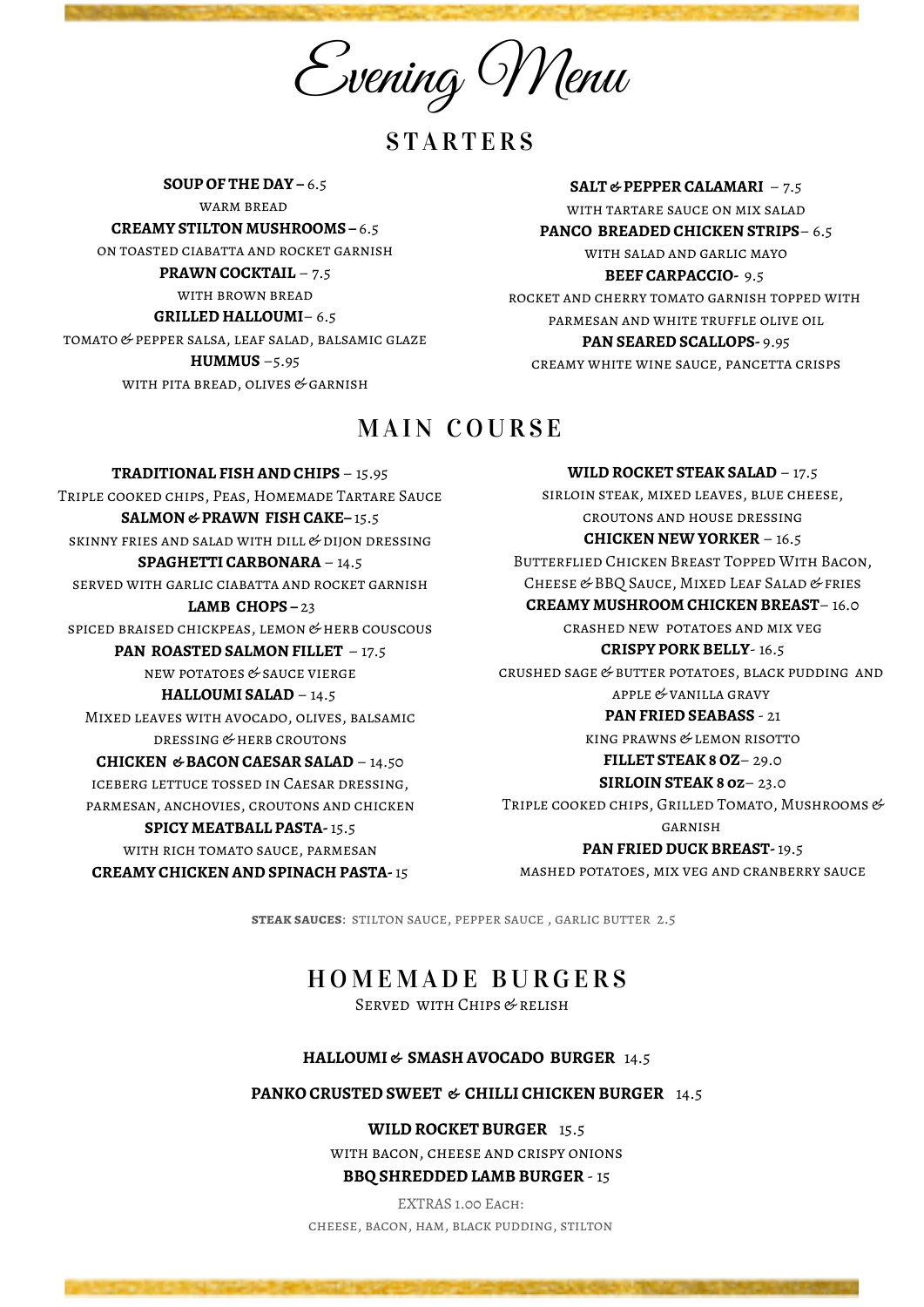Evening Menu

**STARTERS** 

**SOUP OF THE DAY –** 6.5 WARM BREAD **CREAMY STILTON MUSHROOMS –** 6.5 on toasted ciabatta and rocket garnish **PRAWN COCKTAIL** – 7.5 with brown bread **GRILLED HALLOUMI**– 6.5 tomato & pepper salsa, leaf salad, balsamic glaze **HUMMUS** –5.95 WITH PITA BREAD, OLIVES & GARNISH

### **SALT & PEPPER CALAMARI** – 7.5 with tartare sauce on mix salad **PANCO BREADED CHICKEN STRIPS**– 6.5 with salad and garlic mayo **BEEF CARPACCIO-** 9.5 rocket and cherry tomato garnish topped with parmesan and white truffle olive oil **PAN SEARED SCALLOPS-** 9.95

creamy white wine sauce, pancetta crisps

## MAIN COURSE

**TRADITIONAL FISH AND CHIPS** – 15.95 Triple cooked chips, Peas, Homemade Tartare Sauce **SALMON & PRAWN FISH CAKE–** 15.5 SKINNY FRIES AND SALAD WITH DILL  $&$  DIJON DRESSING **SPAGHETTI CARBONARA** – 14.5 served with garlic ciabatta and rocket garnish **LAMB CHOPS –** 23 spiced braised chickpeas, lemon & herb couscous **PAN ROASTED SALMON FILLET** – 17.5 new potatoes & sauce vierge **HALLOUMI SALAD** – 14.5 Mixed leaves with avocado, olives, balsamic dressing & herb croutons **CHICKEN & BACON CAESAR SALAD** – 14.50 iceberg lettuce tossed in Caesar dressing, parmesan, anchovies, croutons and chicken **SPICY MEATBALL PASTA-** 15.5 with rich tomato sauce, parmesan **CREAMY CHICKEN AND SPINACH PASTA-** 15

**WILD ROCKET STEAK SALAD** – 17.5 sirloin steak, mixed leaves, blue cheese, croutons and house dressing **CHICKEN NEW YORKER** – 16.5 Butterflied Chicken Breast Topped With Bacon, CHEESE & BBQ SAUCE, MIXED LEAF SALAD & FRIES **CREAMY MUSHROOM CHICKEN BREAST**– 16.0 crashed new potatoes and mix veg **CRISPY PORK BELLY**- 16.5 crushed sage & butter potatoes, black pudding and apple & vanilla gravy **PAN FRIED SEABASS** - 21 king prawns & lemon risotto **FILLET STEAK 8 OZ**– 29.0 **SIRLOIN STEAK 8 oz**– 23.0 TRIPLE COOKED CHIPS, GRILLED TOMATO, MUSHROOMS & garnish **PAN FRIED DUCK BREAST-** 19.5 mashed potatoes, mix veg and cranberry sauce

**steak sauces**: stilton sauce, pepper sauce , garlic butter 2.5

# H O M E M ADE BURGE R S

Served with Chips & relish

#### **HALLOUMI & SMASH AVOCADO BURGER** 14.5

#### **PANKO CRUSTED SWEET & CHILLI CHICKEN BURGER** 14.5

**WILD ROCKET BURGER** 15.5

with bacon, cheese and crispy onions

**BBQ SHREDDED LAMB BURGER** - 15

EXTRAS 1.00 Each: cheese, bacon, ham, black pudding, stilton